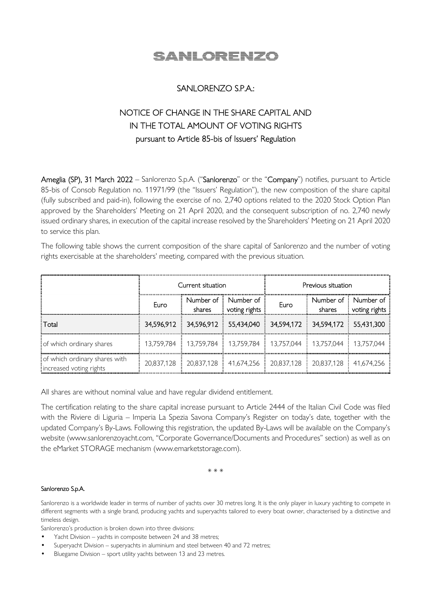

## SANLORENZO S.P.A.:

# NOTICE OF CHANGE IN THE SHARE CAPITAL AND IN THE TOTAL AMOUNT OF VOTING RIGHTS pursuant to Article 85-bis of Issuers' Regulation

Ameglia (SP), 31 March 2022 – Sanlorenzo S.p.A. ("Sanlorenzo" or the "Company") notifies, pursuant to Article 85-bis of Consob Regulation no. 11971/99 (the "Issuers' Regulation"), the new composition of the share capital (fully subscribed and paid-in), following the exercise of no. 2,740 options related to the 2020 Stock Option Plan approved by the Shareholders' Meeting on 21 April 2020, and the consequent subscription of no. 2,740 newly issued ordinary shares, in execution of the capital increase resolved by the Shareholders' Meeting on 21 April 2020 to service this plan.

The following table shows the current composition of the share capital of Sanlorenzo and the number of voting rights exercisable at the shareholders' meeting, compared with the previous situation.

|                                                          | Current situation |        |                                                                             | Previous situation |        |                                        |
|----------------------------------------------------------|-------------------|--------|-----------------------------------------------------------------------------|--------------------|--------|----------------------------------------|
|                                                          | Euro              | shares | Number of : Number of<br>voting rights                                      | Euro               | shares | Number of : Number of<br>voting rights |
| : Total                                                  |                   |        | 34,596,912 34,596,912 55,434,040 34,594,172 34,594,172 55,431,300           |                    |        |                                        |
| of which ordinary shares                                 |                   |        | 13,759,784 [ 13,759,784 [ 13,759,784 [ 13,757,044 [ 13,757,044 [ 13,757,044 |                    |        |                                        |
| of which ordinary shares with<br>increased voting rights |                   |        | 20,837,128 : 20,837,128 : 41,674,256 : 20,837,128 : 20,837,128 : 41,674,256 |                    |        |                                        |

All shares are without nominal value and have regular dividend entitlement.

The certification relating to the share capital increase pursuant to Article 2444 of the Italian Civil Code was filed with the Riviere di Liguria – Imperia La Spezia Savona Company's Register on today's date, together with the updated Company's By-Laws. Following this registration, the updated By-Laws will be available on the Company's website (www.sanlorenzoyacht.com, "Corporate Governance/Documents and Procedures" section) as well as on the eMarket STORAGE mechanism (www.emarketstorage.com).

\* \* \*

#### Sanlorenzo S.p.A.

Sanlorenzo is a worldwide leader in terms of number of yachts over 30 metres long. It is the only player in luxury yachting to compete in different segments with a single brand, producing yachts and superyachts tailored to every boat owner, characterised by a distinctive and timeless design.

Sanlorenzo's production is broken down into three divisions:

- Yacht Division yachts in composite between 24 and 38 metres;
- Superyacht Division superyachts in aluminium and steel between 40 and 72 metres;
- Bluegame Division sport utility yachts between 13 and 23 metres.